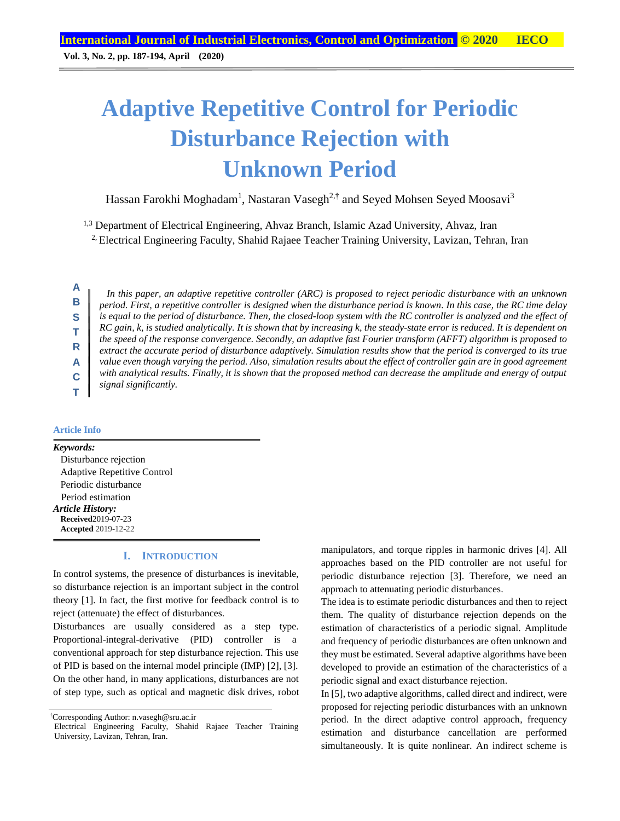**Vol. 3, No. 2, pp. 187-194, April (2020)**

# **Adaptive Repetitive Control for Periodic Disturbance Rejection with Unknown Period**

Hassan Farokhi Moghadam<sup>1</sup>, Nastaran Vasegh<sup>2,†</sup> and Seyed Mohsen Seyed Moosavi<sup>3</sup>

<sup>1,3</sup> Department of Electrical Engineering, Ahvaz Branch, Islamic Azad University, Ahvaz, Iran

<sup>2</sup>. Electrical Engineering Faculty, Shahid Rajaee Teacher Training University, Lavizan, Tehran, Iran

**A B S T R A C**

*In this paper, an adaptive repetitive controller (ARC) is proposed to reject periodic disturbance with an unknown period. First, a repetitive controller is designed when the disturbance period is known. In this case, the RC time delay is equal to the period of disturbance. Then, the closed-loop system with the RC controller is analyzed and the effect of RC gain, k, is studied analytically. It is shown that by increasing k, the steady-state error is reduced. It is dependent on the speed of the response convergence. Secondly, an adaptive fast Fourier transform (AFFT) algorithm is proposed to extract the accurate period of disturbance adaptively. Simulation results show that the period is converged to its true value even though varying the period. Also, simulation results about the effect of controller gain are in good agreement with analytical results. Finally, it is shown that the proposed method can decrease the amplitude and energy of output signal significantly.*

## **Article Info**

**T**

*Keywords:* Disturbance rejection Adaptive Repetitive Control Periodic disturbance Period estimation *Article History:* **Received**2019-07-23 **Accepted** 2019-12-22

# **I. INTRODUCTION**

In control systems, the presence of disturbances is inevitable, so disturbance rejection is an important subject in the control theory [1]. In fact, the first motive for feedback control is to reject (attenuate) the effect of disturbances.

Disturbances are usually considered as a step type. Proportional-integral-derivative (PID) controller is a conventional approach for step disturbance rejection. This use of PID is based on the internal model principle (IMP) [2], [3]. On the other hand, in many applications, disturbances are not of step type, such as optical and magnetic disk drives, robot manipulators, and torque ripples in harmonic drives [4]. All approaches based on the PID controller are not useful for periodic disturbance rejection [3]. Therefore, we need an approach to attenuating periodic disturbances.

The idea is to estimate periodic disturbances and then to reject them. The quality of disturbance rejection depends on the estimation of characteristics of a periodic signal. Amplitude and frequency of periodic disturbances are often unknown and they must be estimated. Several adaptive algorithms have been developed to provide an estimation of the characteristics of a periodic signal and exact disturbance rejection.

In [5], two adaptive algorithms, called direct and indirect, were proposed for rejecting periodic disturbances with an unknown period. In the direct adaptive control approach, frequency estimation and disturbance cancellation are performed simultaneously. It is quite nonlinear. An indirect scheme is

<sup>†</sup>Corresponding Author: n.vasegh@sru.ac.ir

Electrical Engineering Faculty, Shahid Rajaee Teacher Training University, Lavizan, Tehran, Iran.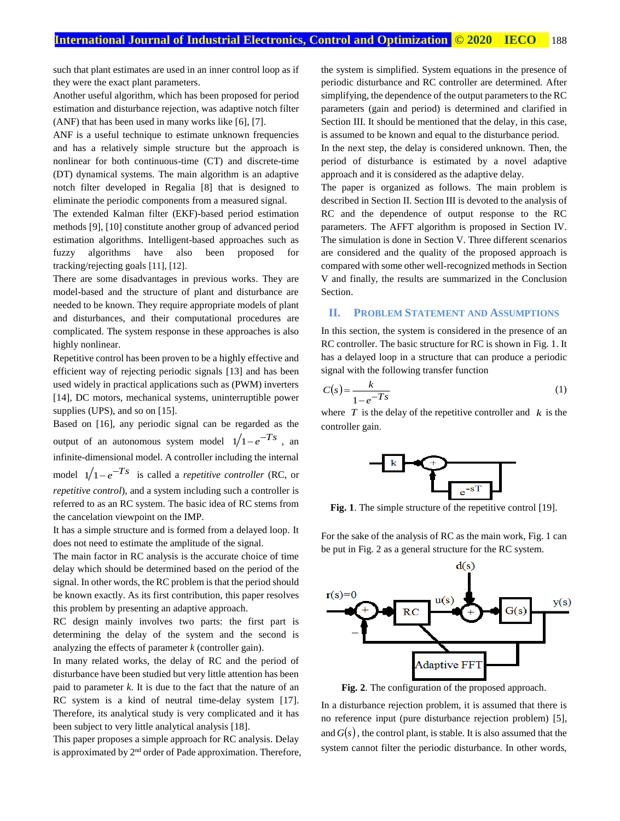such that plant estimates are used in an inner control loop as if they were the exact plant parameters.

Another useful algorithm, which has been proposed for period estimation and disturbance rejection, was adaptive notch filter (ANF) that has been used in many works like [6], [7].

ANF is a useful technique to estimate unknown frequencies and has a relatively simple structure but the approach is nonlinear for both continuous-time (CT) and discrete-time (DT) dynamical systems. The main algorithm is an adaptive notch filter developed in Regalia [8] that is designed to eliminate the periodic components from a measured signal.

The extended Kalman filter (EKF)-based period estimation methods [9], [10] constitute another group of advanced period estimation algorithms. Intelligent-based approaches such as fuzzy algorithms have also been proposed for tracking/rejecting goals [11], [12].

There are some disadvantages in previous works. They are model-based and the structure of plant and disturbance are needed to be known. They require appropriate models of plant and disturbances, and their computational procedures are complicated. The system response in these approaches is also highly nonlinear.

Repetitive control has been proven to be a highly effective and efficient way of rejecting periodic signals [13] and has been used widely in practical applications such as (PWM) inverters [14], DC motors, mechanical systems, uninterruptible power supplies (UPS), and so on [15].

Based on [16], any periodic signal can be regarded as the output of an autonomous system model  $1/1 - e^{-Ts}$ , an infinite-dimensional model. A controller including the internal model  $1/1 - e^{-Ts}$  is called a *repetitive controller* (RC, or *repetitive control*), and a system including such a controller is referred to as an RC system. The basic idea of RC stems from the cancelation viewpoint on the IMP.

It has a simple structure and is formed from a delayed loop. It does not need to estimate the amplitude of the signal.

The main factor in RC analysis is the accurate choice of time delay which should be determined based on the period of the signal. In other words, the RC problem is that the period should be known exactly. As its first contribution, this paper resolves this problem by presenting an adaptive approach.

RC design mainly involves two parts: the first part is determining the delay of the system and the second is analyzing the effects of parameter *k* (controller gain).

In many related works, the delay of RC and the period of disturbance have been studied but very little attention has been paid to parameter *k*. It is due to the fact that the nature of an RC system is a kind of neutral time-delay system [17]. Therefore, its analytical study is very complicated and it has been subject to very little analytical analysis [18].

This paper proposes a simple approach for RC analysis. Delay is approximated by 2<sup>nd</sup> order of Pade approximation. Therefore, the system is simplified. System equations in the presence of periodic disturbance and RC controller are determined. After simplifying, the dependence of the output parameters to the RC parameters (gain and period) is determined and clarified in Section III. It should be mentioned that the delay, in this case, is assumed to be known and equal to the disturbance period.

In the next step, the delay is considered unknown. Then, the period of disturbance is estimated by a novel adaptive approach and it is considered as the adaptive delay.

The paper is organized as follows. The main problem is described in Section II. Section III is devoted to the analysis of RC and the dependence of output response to the RC parameters. The AFFT algorithm is proposed in Section IV. The simulation is done in Section V. Three different scenarios are considered and the quality of the proposed approach is compared with some other well-recognized methods in Section V and finally, the results are summarized in the Conclusion Section.

### **II. PROBLEM STATEMENT AND ASSUMPTIONS**

In this section, the system is considered in the presence of an RC controller. The basic structure for RC is shown in Fig. 1. It has a delayed loop in a structure that can produce a periodic signal with the following transfer function

$$
C(s) = \frac{k}{1 - e^{-Ts}}\tag{1}
$$

where  $T$  is the delay of the repetitive controller and  $k$  is the controller gain.



Fig. 1. The simple structure of the repetitive control [19].

For the sake of the analysis of RC as the main work, Fig. 1 can be put in Fig. 2 as a general structure for the RC system.



**Fig. 2**. The configuration of the proposed approach.

In a disturbance rejection problem, it is assumed that there is no reference input (pure disturbance rejection problem) [5], and  $G(s)$ , the control plant, is stable. It is also assumed that the system cannot filter the periodic disturbance. In other words,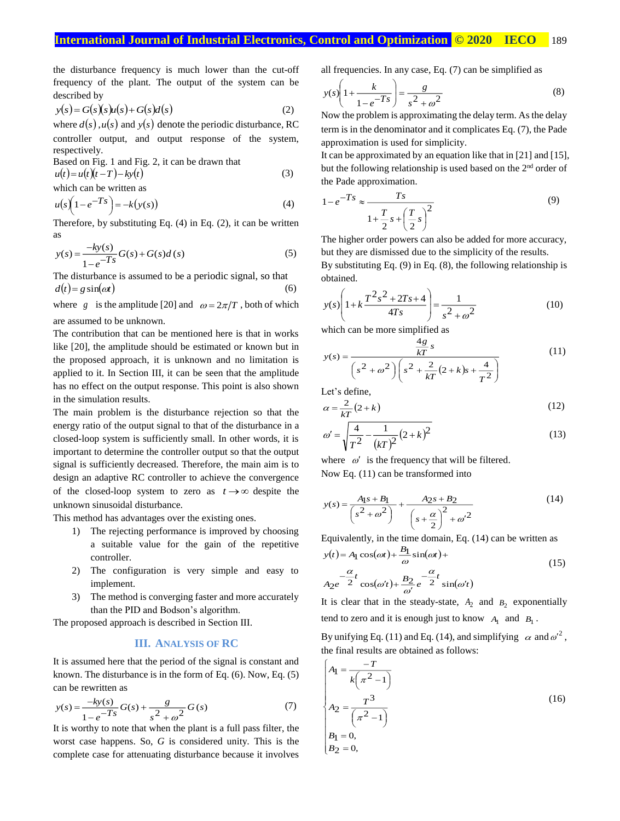the disturbance frequency is much lower than the cut-off frequency of the plant. The output of the system can be described by

$$
y(s) = G(s)(s)u(s) + G(s)d(s)
$$
\n(2)

where  $d(s)$ ,  $u(s)$  and  $y(s)$  denote the periodic disturbance, RC controller output, and output response of the system, respectively.

Based on Fig. 1 and Fig. 2, it can be drawn that

$$
u(t) = u(t)(t - T) - ky(t)
$$
  
which can be written as (3)

$$
u(s)\left(1-e^{-Ts}\right) = -k(y(s))\tag{4}
$$

Therefore, by substituting Eq. (4) in Eq. (2), it can be written as

$$
y(s) = \frac{-ky(s)}{1 - e^{-Ts}} G(s) + G(s)d(s)
$$
 (5)

The disturbance is assumed to be a periodic signal, so that  $d(t) = g \sin(\omega t)$  (6)

where g is the amplitude [20] and  $\omega = 2\pi/T$ , both of which are assumed to be unknown.

The contribution that can be mentioned here is that in works like [20], the amplitude should be estimated or known but in the proposed approach, it is unknown and no limitation is applied to it. In Section III, it can be seen that the amplitude has no effect on the output response. This point is also shown in the simulation results.

The main problem is the disturbance rejection so that the energy ratio of the output signal to that of the disturbance in a closed-loop system is sufficiently small. In other words, it is important to determine the controller output so that the output signal is sufficiently decreased. Therefore, the main aim is to design an adaptive RC controller to achieve the convergence of the closed-loop system to zero as  $t \rightarrow \infty$  despite the unknown sinusoidal disturbance.

This method has advantages over the existing ones.

- 1) The rejecting performance is improved by choosing a suitable value for the gain of the repetitive controller.
- 2) The configuration is very simple and easy to implement.
- 3) The method is converging faster and more accurately than the PID and Bodson's algorithm.

The proposed approach is described in Section III.

## **III. ANALYSIS OF RC**

It is assumed here that the period of the signal is constant and known. The disturbance is in the form of Eq. (6). Now, Eq. (5) can be rewritten as

$$
y(s) = \frac{-ky(s)}{1 - e^{-Ts}} G(s) + \frac{g}{s^2 + \omega^2} G(s)
$$
 (7)

It is worthy to note that when the plant is a full pass filter, the worst case happens. So, *G* is considered unity. This is the complete case for attenuating disturbance because it involves all frequencies. In any case, Eq. (7) can be simplified as

$$
y(s)\left(1 + \frac{k}{1 - e^{-Ts}}\right) = \frac{g}{s^2 + \omega^2}
$$
\n(8)

Now the problem is approximating the delay term. As the delay term is in the denominator and it complicates Eq. (7), the Pade approximation is used for simplicity.

It can be approximated by an equation like that in [21] and [15], but the following relationship is used based on the 2<sup>nd</sup> order of the Pade approximation.

$$
1 - e^{-Ts} \approx \frac{Ts}{1 + \frac{T}{2}s + \left(\frac{T}{2}s\right)^2}
$$
\n(9)

 The higher order powers can also be added for more accuracy, but they are dismissed due to the simplicity of the results. By substituting Eq. (9) in Eq. (8), the following relationship is

$$
y(s)\left(1 + k\frac{T^2s^2 + 2Ts + 4}{4Ts}\right) = \frac{1}{s^2 + \omega^2} \tag{10}
$$

which can be more simplified as

$$
y(s) = \frac{\frac{4g}{kT}s}{\left(s^2 + \omega^2\right)\left(s^2 + \frac{2}{kT}\left(2 + k\right)s + \frac{4}{T^2}\right)}
$$
(11)

Let's define,

obtained.

$$
\alpha = \frac{2}{kT} (2 + k) \tag{12}
$$

$$
\omega' = \sqrt{\frac{4}{T^2} - \frac{1}{(kT)^2} (2 + k)^2}
$$
\n(13)

where  $\omega'$  is the frequency that will be filtered. Now Eq. (11) can be transformed into

$$
y(s) = \frac{A_1s + B_1}{\left(s^2 + \omega^2\right)} + \frac{A_2s + B_2}{\left(s + \frac{\alpha}{2}\right)^2 + {\omega'}^2}
$$
(14)

Equivalently, in the time domain, Eq. (14) can be written as

$$
y(t) = A_1 \cos(\omega t) + \frac{B_1}{\omega} \sin(\omega t) +
$$
  

$$
A_2 e^{-\frac{\alpha}{2}t} \cos(\omega' t) + \frac{B_2}{\omega'} e^{-\frac{\alpha}{2}t} \sin(\omega' t)
$$
 (15)

It is clear that in the steady-state,  $A_2$  and  $B_2$  exponentially tend to zero and it is enough just to know  $A_1$  and  $B_1$ .

By unifying Eq. (11) and Eq. (14), and simplifying  $\alpha$  and  $\omega^2$ , the final results are obtained as follows:

$$
\begin{cases}\nA_1 = \frac{-T}{k(\pi^2 - 1)} \\
A_2 = \frac{T^3}{(\pi^2 - 1)} \\
B_1 = 0, \\
B_2 = 0,\n\end{cases}
$$
\n(16)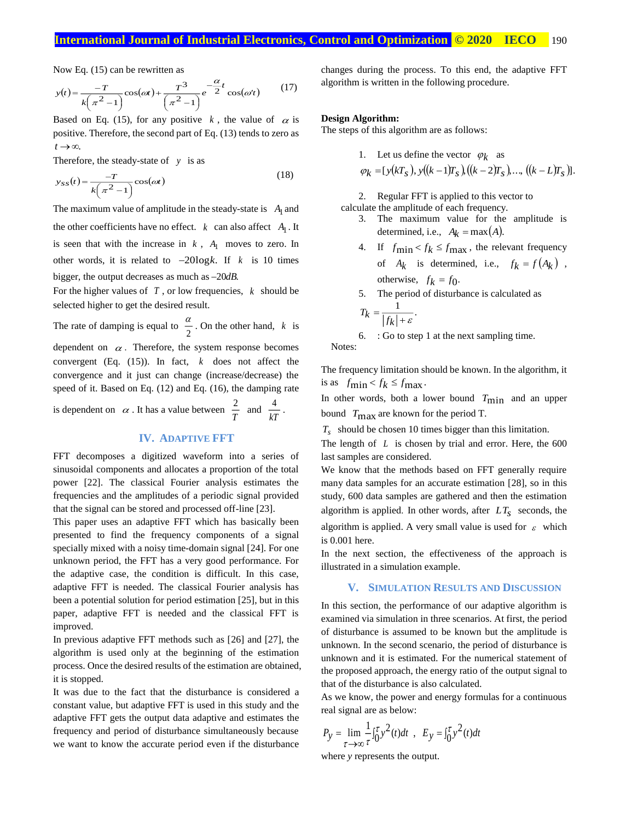Now Eq. (15) can be rewritten as

$$
y(t) = \frac{-T}{k(\pi^2 - 1)} \cos(\omega t) + \frac{T^3}{(\pi^2 - 1)} e^{-\frac{\alpha}{2}t} \cos(\omega' t)
$$
(17)

positive. Therefore, the second part of Eq.  $(13)$  tends to zero as Based on Eq. (15), for any positive  $k$ , the value of  $\alpha$  is  $t \rightarrow \infty$ .

Therefore, the steady-state of *y* is as

$$
y_{SS}(t) = \frac{-T}{k(\pi^2 - 1)} \cos(\omega t)
$$
\n(18)

The maximum value of amplitude in the steady-state is  $A_1$  and the other coefficients have no effect.  $k$  can also affect  $A_1$ . It is seen that with the increase in  $k$ ,  $A_1$  moves to zero. In other words, it is related to  $-20\log k$ . If  $k$  is 10 times bigger, the output decreases as much as  $-20dB$ .

For the higher values of  $T$ , or low frequencies,  $k$  should be selected higher to get the desired result.

The rate of damping is equal to  $\frac{\pi}{2}$  $\frac{\alpha}{2}$ . On the other hand, k is dependent on  $\alpha$ . Therefore, the system response becomes convergent (Eq.  $(15)$ ). In fact,  $k$  does not affect the convergence and it just can change (increase/decrease) the speed of it. Based on Eq. (12) and Eq. (16), the damping rate  $\frac{4}{\pi}$ .

is dependent on  $\alpha$ . It has a value between  $\frac{2}{T}$  $\frac{2}{T}$  and  $\frac{4}{kT}$ 

# **IV. ADAPTIVE FFT**

FFT decomposes a digitized waveform into a series of sinusoidal components and allocates a proportion of the total power [22]. The classical Fourier analysis estimates the frequencies and the amplitudes of a periodic signal provided that the signal can be stored and processed off-line [23].

This paper uses an adaptive FFT which has basically been presented to find the frequency components of a signal specially mixed with a noisy time-domain signal [24]. For one unknown period, the FFT has a very good performance. For the adaptive case, the condition is difficult. In this case, adaptive FFT is needed. The classical Fourier analysis has been a potential solution for period estimation [25], but in this paper, adaptive FFT is needed and the classical FFT is improved.

In previous adaptive FFT methods such as [26] and [27], the algorithm is used only at the beginning of the estimation process. Once the desired results of the estimation are obtained, it is stopped.

It was due to the fact that the disturbance is considered a constant value, but adaptive FFT is used in this study and the adaptive FFT gets the output data adaptive and estimates the frequency and period of disturbance simultaneously because we want to know the accurate period even if the disturbance changes during the process. To this end, the adaptive FFT algorithm is written in the following procedure.

## **Design Algorithm:**

The steps of this algorithm are as follows:

1. Let us define the vector  $\varphi_k$  as

$$
\varphi_k = [y(kT_s), y((k-1)T_s), ((k-2)T_s), ..., ((k-L)T_s)].
$$

2. Regular FFT is applied to this vector to calculate the amplitude of each frequency.

- 3. The maximum value for the amplitude is determined, i.e.,  $A_k = \max(A)$ .
- 4. If  $f_{\text{min}} < f_k \le f_{\text{max}}$ , the relevant frequency of  $A_k$  is determined, i.e.,  $f_k = f(A_k)$ , otherwise,  $f_k = f_0$ .
- 5. The period of disturbance is calculated as 1

$$
T_k = \frac{1}{|f_k| + \varepsilon}.
$$

6. : Go to step 1 at the next sampling time. Notes:

The frequency limitation should be known. In the algorithm, it is as  $f_{\text{min}} < f_k \leq f_{\text{max}}$ .

In other words, both a lower bound  $T_{\text{min}}$  and an upper bound *T*max are known for the period T.

*Ts* should be chosen 10 times bigger than this limitation.

The length of L is chosen by trial and error. Here, the 600 last samples are considered.

We know that the methods based on FFT generally require many data samples for an accurate estimation [28], so in this study, 600 data samples are gathered and then the estimation algorithm is applied. In other words, after  $LT_s$  seconds, the algorithm is applied. A very small value is used for  $\varepsilon$  which is 0.001 here.

In the next section, the effectiveness of the approach is illustrated in a simulation example.

#### **V. SIMULATION RESULTS AND DISCUSSION**

In this section, the performance of our adaptive algorithm is examined via simulation in three scenarios. At first, the period of disturbance is assumed to be known but the amplitude is unknown. In the second scenario, the period of disturbance is unknown and it is estimated. For the numerical statement of the proposed approach, the energy ratio of the output signal to that of the disturbance is also calculated.

As we know, the power and energy formulas for a continuous real signal are as below:

$$
P_y = \lim_{\tau \to \infty} \frac{1}{\tau} \int_0^{\tau} y^2(t) dt \, , \, E_y = \int_0^{\tau} y^2(t) dt
$$

where *y* represents the output.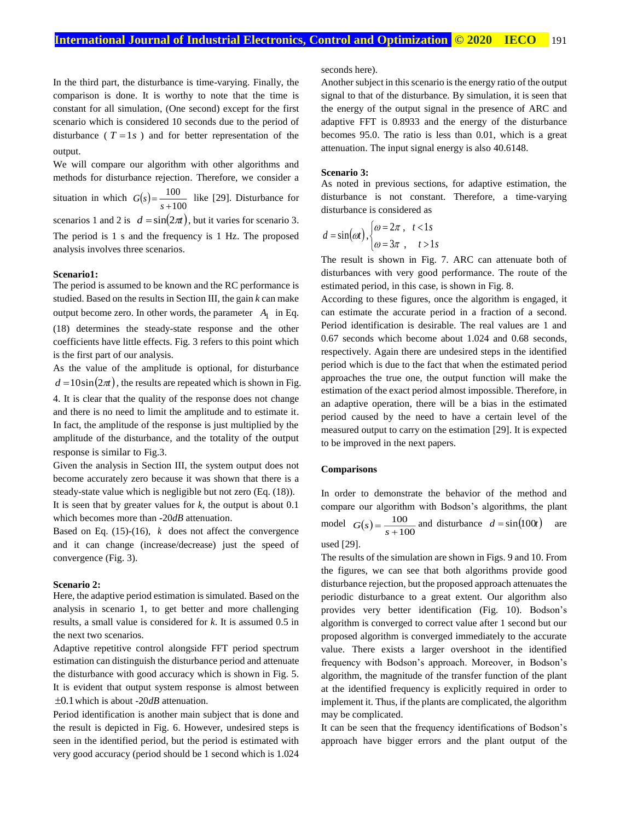In the third part, the disturbance is time-varying. Finally, the comparison is done. It is worthy to note that the time is constant for all simulation, (One second) except for the first scenario which is considered 10 seconds due to the period of disturbance ( $T = 1s$ ) and for better representation of the output.

We will compare our algorithm with other algorithms and methods for disturbance rejection. Therefore, we consider a situation in which  $G(s) = \frac{100}{s + 100}$ 100  $G(s) = \frac{100}{s+100}$  like [29]. Disturbance for scenarios 1 and 2 is  $d = \sin(2\pi t)$ , but it varies for scenario 3. The period is 1 s and the frequency is 1 Hz. The proposed analysis involves three scenarios.

#### **Scenario1:**

The period is assumed to be known and the RC performance is studied. Based on the results in Section III, the gain *k* can make output become zero. In other words, the parameter  $A_1$  in Eq. (18) determines the steady-state response and the other coefficients have little effects. Fig. 3 refers to this point which is the first part of our analysis.

As the value of the amplitude is optional, for disturbance  $d = 10\sin(2\pi t)$ , the results are repeated which is shown in Fig. 4. It is clear that the quality of the response does not change and there is no need to limit the amplitude and to estimate it. In fact, the amplitude of the response is just multiplied by the amplitude of the disturbance, and the totality of the output response is similar to Fig.3.

Given the analysis in Section III, the system output does not become accurately zero because it was shown that there is a steady-state value which is negligible but not zero (Eq. (18)). It is seen that by greater values for *k*, the output is about 0.1

which becomes more than *-*20*dB* attenuation.

Based on Eq.  $(15)-(16)$ , *k* does not affect the convergence and it can change (increase/decrease) just the speed of convergence (Fig. 3).

#### **Scenario 2:**

Here, the adaptive period estimation is simulated. Based on the analysis in scenario 1, to get better and more challenging results, a small value is considered for *k*. It is assumed 0.5 in the next two scenarios.

Adaptive repetitive control alongside FFT period spectrum estimation can distinguish the disturbance period and attenuate the disturbance with good accuracy which is shown in Fig. 5. It is evident that output system response is almost between 0.1 which is about -20*dB* attenuation.

Period identification is another main subject that is done and the result is depicted in Fig. 6. However, undesired steps is seen in the identified period, but the period is estimated with very good accuracy (period should be 1 second which is 1.024 seconds here).

Another subject in this scenario is the energy ratio of the output signal to that of the disturbance. By simulation, it is seen that the energy of the output signal in the presence of ARC and adaptive FFT is 0.8933 and the energy of the disturbance becomes 95.0. The ratio is less than 0.01, which is a great attenuation. The input signal energy is also 40.6148.

#### **Scenario 3:**

As noted in previous sections, for adaptive estimation, the disturbance is not constant. Therefore, a time-varying disturbance is considered as

$$
d = \sin(\omega t), \begin{cases} \omega = 2\pi, & t < 1s \\ \omega = 3\pi, & t > 1s \end{cases}
$$

The result is shown in Fig. 7. ARC can attenuate both of disturbances with very good performance. The route of the estimated period, in this case, is shown in Fig. 8.

According to these figures, once the algorithm is engaged, it can estimate the accurate period in a fraction of a second. Period identification is desirable. The real values are 1 and 0.67 seconds which become about 1.024 and 0.68 seconds, respectively. Again there are undesired steps in the identified period which is due to the fact that when the estimated period approaches the true one, the output function will make the estimation of the exact period almost impossible. Therefore, in an adaptive operation, there will be a bias in the estimated period caused by the need to have a certain level of the measured output to carry on the estimation [29]. It is expected to be improved in the next papers.

## **Comparisons**

In order to demonstrate the behavior of the method and compare our algorithm with Bodson's algorithms, the plant model  $G(s) = \frac{100}{s + 100}$ 100  $G(s) = \frac{100}{s + 100}$  and disturbance  $d = \sin(100t)$  are

used [29].

The results of the simulation are shown in Figs. 9 and 10. From the figures, we can see that both algorithms provide good disturbance rejection, but the proposed approach attenuates the periodic disturbance to a great extent. Our algorithm also provides very better identification (Fig. 10). Bodson's algorithm is converged to correct value after 1 second but our proposed algorithm is converged immediately to the accurate value. There exists a larger overshoot in the identified frequency with Bodson's approach. Moreover, in Bodson's algorithm, the magnitude of the transfer function of the plant at the identified frequency is explicitly required in order to implement it. Thus, if the plants are complicated, the algorithm may be complicated.

It can be seen that the frequency identifications of Bodson's approach have bigger errors and the plant output of the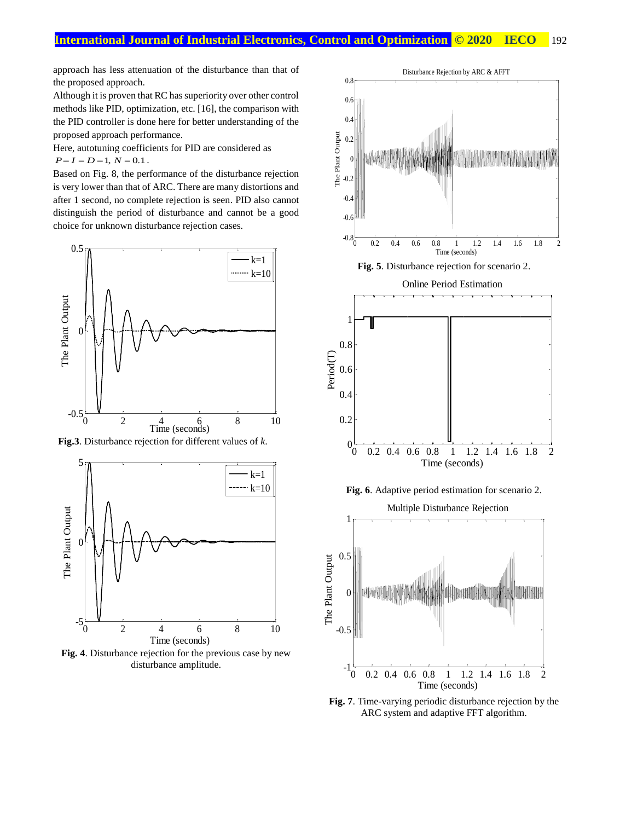approach has less attenuation of the disturbance than that of the proposed approach.

Although it is proven that RC has superiority over other control methods like PID, optimization, etc. [16], the comparison with the PID controller is done here for better understanding of the proposed approach performance.

Here, autotuning coefficients for PID are considered as  $P = I = D = 1, N = 0.1$ .

Based on Fig. 8, the performance of the disturbance rejection is very lower than that of ARC. There are many distortions and after 1 second, no complete rejection is seen. PID also cannot distinguish the period of disturbance and cannot be a good choice for unknown disturbance rejection cases.



**Fig.3**. Disturbance rejection for different values of *k*.



**Fig. 4**. Disturbance rejection for the previous case by new disturbance amplitude.



**Fig. 5**. Disturbance rejection for scenario 2.



**Fig. 6**. Adaptive period estimation for scenario 2.

Multiple Disturbance Rejection



**Fig. 7**. Time-varying periodic disturbance rejection by the ARC system and adaptive FFT algorithm.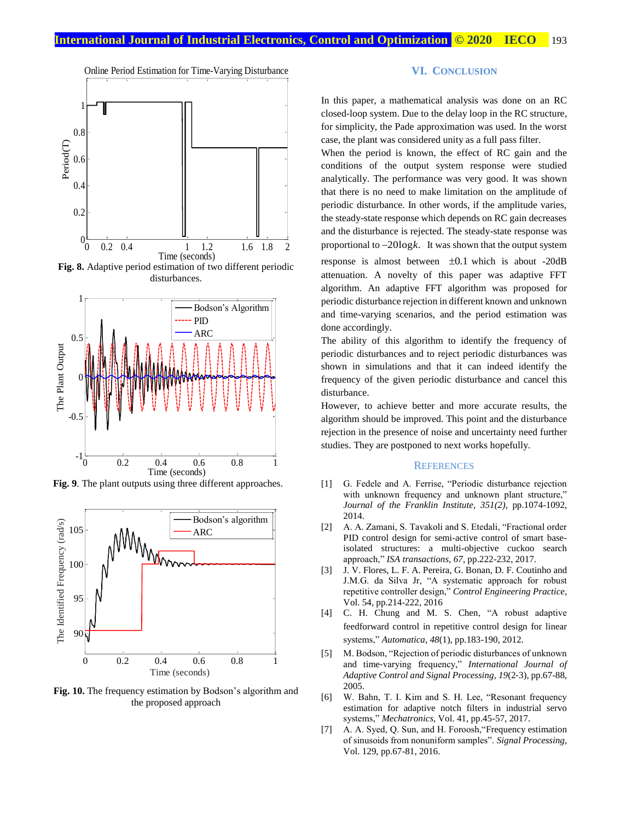

**Fig. 8.** Adaptive period estimation of two different periodic disturbances.



**Fig. 9**. The plant outputs using three different approaches.



**Fig. 10.** The frequency estimation by Bodson's algorithm and the proposed approach

## **VI. CONCLUSION**

In this paper, a mathematical analysis was done on an RC closed-loop system. Due to the delay loop in the RC structure, for simplicity, the Pade approximation was used. In the worst case, the plant was considered unity as a full pass filter.

When the period is known, the effect of RC gain and the conditions of the output system response were studied analytically. The performance was very good. It was shown that there is no need to make limitation on the amplitude of periodic disturbance. In other words, if the amplitude varies, the steady-state response which depends on RC gain decreases and the disturbance is rejected. The steady-state response was proportional to  $-20\log k$ . It was shown that the output system response is almost between  $\pm 0.1$  which is about -20dB attenuation. A novelty of this paper was adaptive FFT algorithm. An adaptive FFT algorithm was proposed for periodic disturbance rejection in different known and unknown and time-varying scenarios, and the period estimation was done accordingly.

The ability of this algorithm to identify the frequency of periodic disturbances and to reject periodic disturbances was shown in simulations and that it can indeed identify the frequency of the given periodic disturbance and cancel this disturbance.

However, to achieve better and more accurate results, the algorithm should be improved. This point and the disturbance rejection in the presence of noise and uncertainty need further studies. They are postponed to next works hopefully.

#### **REFERENCES**

- [1] G. Fedele and A. Ferrise, "Periodic disturbance rejection with unknown frequency and unknown plant structure," *Journal of the Franklin Institute*, *351(2)*, pp.1074-1092, 2014.
- [2] A. A. Zamani, S. Tavakoli and S. Etedali, "Fractional order PID control design for semi-active control of smart baseisolated structures: a multi-objective cuckoo search approach," *ISA transactions*, *67*, pp.222-232, 2017.
- [3] J. V. Flores, L. F. A. Pereira, G. Bonan, D. F. Coutinho and J.M.G. da Silva Jr, "A systematic approach for robust repetitive controller design," *Control Engineering Practice*, Vol. 54, pp.214-222, 2016
- [4] C. H. Chung and M. S. Chen, "A robust adaptive feedforward control in repetitive control design for linear systems," *Automatica*, *48*(1), pp.183-190, 2012.
- [5] M. Bodson, "Rejection of periodic disturbances of unknown and time‐varying frequency," *International Journal of Adaptive Control and Signal Processing*, *19*(2‐3), pp.67-88, 2005.
- [6] W. Bahn, T. I. Kim and S. H. Lee, "Resonant frequency estimation for adaptive notch filters in industrial servo systems," *Mechatronics*, Vol. 41, pp.45-57, 2017.
- [7] A. A. Syed, Q. Sun, and H. Foroosh,"Frequency estimation of sinusoids from nonuniform samples". *Signal Processing*, Vol. 129, pp.67-81, 2016.